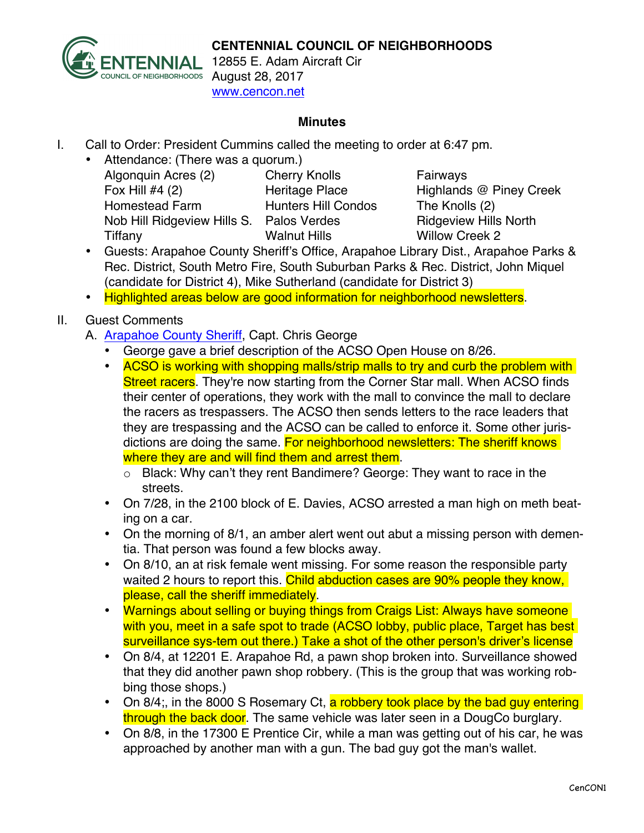

12855 E. Adam Aircraft Cir August 28, 2017 www.cencon.net

## **Minutes**

- I. Call to Order: President Cummins called the meeting to order at 6:47 pm.
	- Attendance: (There was a quorum.) Algonquin Acres (2) Cherry Knolls Fairways Fox Hill #4 (2) Heritage Place Highlands @ Piney Creek Homestead Farm Hunters Hill Condos The Knolls (2) Nob Hill Ridgeview Hills S. Palos Verdes Ridgeview Hills North Tiffany Walnut Hills Willow Creek 2

- Guests: Arapahoe County Sheriff's Office, Arapahoe Library Dist., Arapahoe Parks & Rec. District, South Metro Fire, South Suburban Parks & Rec. District, John Miquel (candidate for District 4), Mike Sutherland (candidate for District 3)
- Highlighted areas below are good information for neighborhood newsletters.

## II. Guest Comments

- A. [Arapahoe County Sheriff,](http://www.arapahoesheriff.org) Capt. Chris George
	- George gave a brief description of the ACSO Open House on 8/26.
	- ACSO is working with shopping malls/strip malls to try and curb the problem with Street racers. They're now starting from the Corner Star mall. When ACSO finds their center of operations, they work with the mall to convince the mall to declare the racers as trespassers. The ACSO then sends letters to the race leaders that they are trespassing and the ACSO can be called to enforce it. Some other jurisdictions are doing the same. For neighborhood newsletters: The sheriff knows where they are and will find them and arrest them.
		- o Black: Why can't they rent Bandimere? George: They want to race in the streets.
	- On 7/28, in the 2100 block of E. Davies, ACSO arrested a man high on meth beating on a car.
	- On the morning of 8/1, an amber alert went out abut a missing person with dementia. That person was found a few blocks away.
	- On 8/10, an at risk female went missing. For some reason the responsible party waited 2 hours to report this. Child abduction cases are 90% people they know. please, call the sheriff immediately.
	- Warnings about selling or buying things from Craigs List: Always have someone with you, meet in a safe spot to trade (ACSO lobby, public place, Target has best surveillance sys-tem out there.) Take a shot of the other person's driver's license
	- On 8/4, at 12201 E. Arapahoe Rd, a pawn shop broken into. Surveillance showed that they did another pawn shop robbery. (This is the group that was working robbing those shops.)
	- On 8/4; in the 8000 S Rosemary Ct, a robbery took place by the bad guy entering through the back door. The same vehicle was later seen in a DougCo burglary.
	- On 8/8, in the 17300 E Prentice Cir, while a man was getting out of his car, he was approached by another man with a gun. The bad guy got the man's wallet.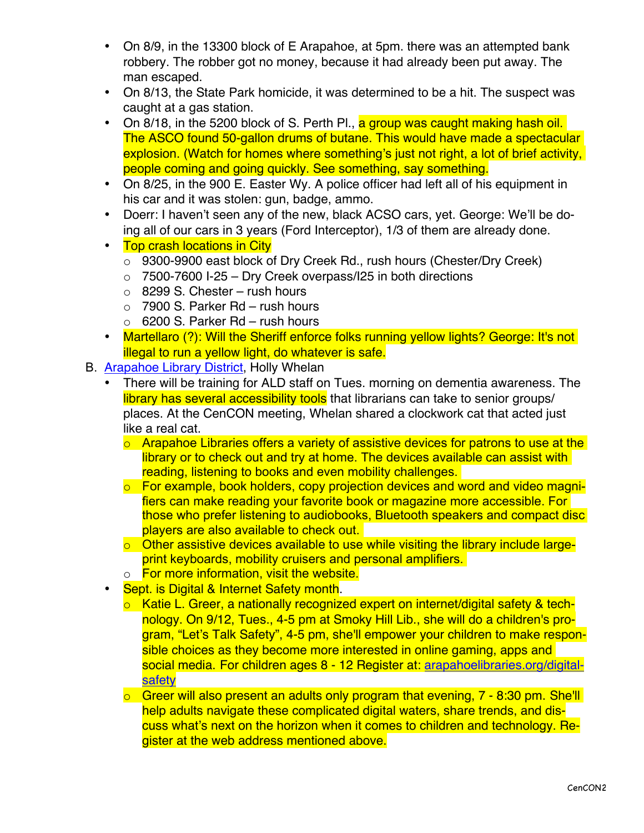- On 8/9, in the 13300 block of E Arapahoe, at 5pm. there was an attempted bank robbery. The robber got no money, because it had already been put away. The man escaped.
- On 8/13, the State Park homicide, it was determined to be a hit. The suspect was caught at a gas station.
- On 8/18, in the 5200 block of S. Perth Pl., a group was caught making hash oil. The ASCO found 50-gallon drums of butane. This would have made a spectacular explosion. (Watch for homes where something's just not right, a lot of brief activity, people coming and going quickly. See something, say something.
- On 8/25, in the 900 E. Easter Wy. A police officer had left all of his equipment in his car and it was stolen: gun, badge, ammo.
- Doerr: I haven't seen any of the new, black ACSO cars, yet. George: We'll be doing all of our cars in 3 years (Ford Interceptor), 1/3 of them are already done.
- Top crash locations in City
	- o 9300-9900 east block of Dry Creek Rd., rush hours (Chester/Dry Creek)
	- $\circ$  7500-7600 I-25 Dry Creek overpass/I25 in both directions
	- $\circ$  8299 S. Chester rush hours
	- $\circ$  7900 S. Parker Rd rush hours
	- $\circ$  6200 S. Parker Rd rush hours
- Martellaro (?): Will the Sheriff enforce folks running yellow lights? George: It's not illegal to run a yellow light, do whatever is safe.
- B. [Arapahoe Library District,](http://www.arapahoelibraries.org/) Holly Whelan
	- There will be training for ALD staff on Tues. morning on dementia awareness. The library has several accessibility tools that librarians can take to senior groups/ places. At the CenCON meeting, Whelan shared a clockwork cat that acted just like a real cat.
		- $\circ$  Arapahoe Libraries offers a variety of assistive devices for patrons to use at the library or to check out and try at home. The devices available can assist with reading, listening to books and even mobility challenges.
		- o For example, book holders, copy projection devices and word and video magnifiers can make reading your favorite book or magazine more accessible. For those who prefer listening to audiobooks, Bluetooth speakers and compact disc players are also available to check out.
		- $\circ$  Other assistive devices available to use while visiting the library include largeprint keyboards, mobility cruisers and personal amplifiers.
		- o For more information, visit the website.
	- Sept. is Digital & Internet Safety month.
		- o Katie L. Greer, a nationally recognized expert on internet/digital safety & technology. On 9/12, Tues., 4-5 pm at Smoky Hill Lib., she will do a children's program, "Let's Talk Safety", 4-5 pm, she'll empower your children to make responsible choices as they become more interested in online gaming, apps and social media. For children ages 8 - 12 Register at: [arapahoelibraries.org/digital](http://www.arapahoelibraries.org/digital-safety)[safety](http://www.arapahoelibraries.org/digital-safety)
		- o Greer will also present an adults only program that evening, 7 8:30 pm. She'll help adults navigate these complicated digital waters, share trends, and discuss what's next on the horizon when it comes to children and technology. Register at the web address mentioned above.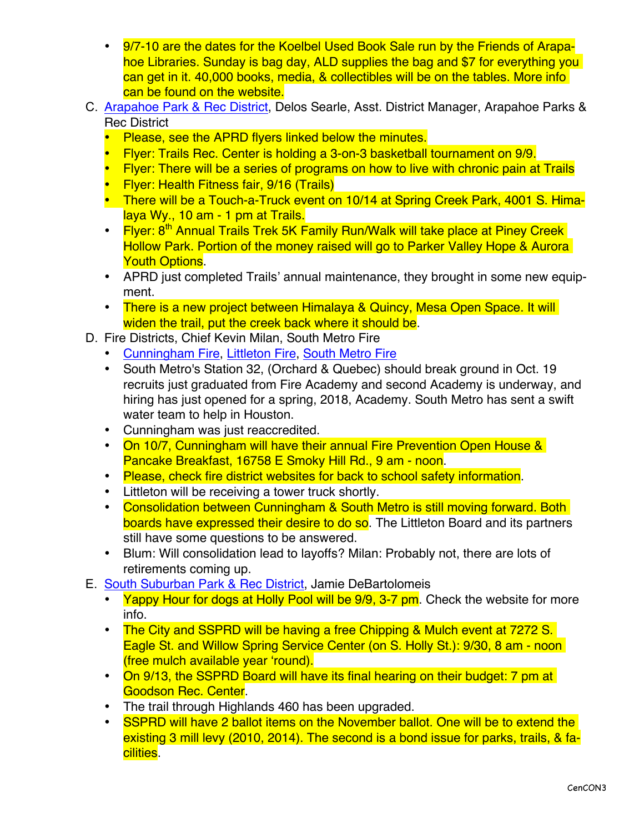- 9/7-10 are the dates for the Koelbel Used Book Sale run by the Friends of Arapahoe Libraries. Sunday is bag day, ALD supplies the bag and \$7 for everything you can get in it. 40,000 books, media, & collectibles will be on the tables. More info can be found on the website.
- C. [Arapahoe Park & Rec District,](http://www.aprd.org) Delos Searle, Asst. District Manager, Arapahoe Parks & Rec District
	- Please, see the APRD flyers linked below the minutes.
	- Flyer: Trails Rec. Center is holding a 3-on-3 basketball tournament on 9/9.
	- Flyer: There will be a series of programs on how to live with chronic pain at Trails
	- Flyer: Health Fitness fair, 9/16 (Trails)
	- There will be a Touch-a-Truck event on 10/14 at Spring Creek Park, 4001 S. Himalaya Wy., 10 am - 1 pm at Trails.
	- Flyer: 8<sup>th</sup> Annual Trails Trek 5K Family Run/Walk will take place at Piney Creek Hollow Park. Portion of the money raised will go to Parker Valley Hope & Aurora **Youth Options.**
	- APRD just completed Trails' annual maintenance, they brought in some new equipment.
	- There is a new project between Himalaya & Quincy, Mesa Open Space. It will widen the trail, put the creek back where it should be.
- D. Fire Districts, Chief Kevin Milan, South Metro Fire
	- Cunningham Fire, [Littleton Fire,](http://www.littletongov.org/fire) [South Metro Fire](http://www.southmetro.org)
	- South Metro's Station 32, (Orchard & Quebec) should break ground in Oct. 19 recruits just graduated from Fire Academy and second Academy is underway, and hiring has just opened for a spring, 2018, Academy. South Metro has sent a swift water team to help in Houston.
	- Cunningham was just reaccredited.
	- On 10/7, Cunningham will have their annual Fire Prevention Open House & Pancake Breakfast, 16758 E Smoky Hill Rd., 9 am - noon.
	- Please, check fire district websites for back to school safety information.
	- Littleton will be receiving a tower truck shortly.
	- Consolidation between Cunningham & South Metro is still moving forward. Both boards have expressed their desire to do so. The Littleton Board and its partners still have some questions to be answered.
	- Blum: Will consolidation lead to layoffs? Milan: Probably not, there are lots of retirements coming up.
- E. [South Suburban Park & Rec District,](http://www.SSPR.org) Jamie DeBartolomeis
	- Yappy Hour for dogs at Holly Pool will be 9/9, 3-7 pm. Check the website for more info.
	- The City and SSPRD will be having a free Chipping & Mulch event at 7272 S. Eagle St. and Willow Spring Service Center (on S. Holly St.): 9/30, 8 am - noon (free mulch available year 'round).
	- On 9/13, the SSPRD Board will have its final hearing on their budget: 7 pm at Goodson Rec. Center.
	- The trail through Highlands 460 has been upgraded.
	- SSPRD will have 2 ballot items on the November ballot. One will be to extend the existing 3 mill levy (2010, 2014). The second is a bond issue for parks, trails, & facilities.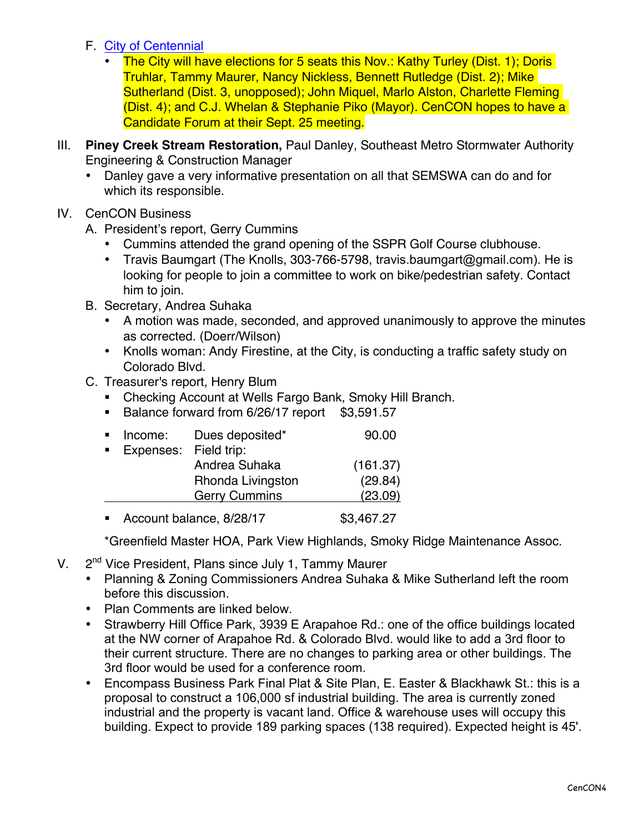- F. [City of Centennial](http://www.centennialco.gov)
	- The City will have elections for 5 seats this Nov.: Kathy Turley (Dist. 1); Doris Truhlar, Tammy Maurer, Nancy Nickless, Bennett Rutledge (Dist. 2); Mike Sutherland (Dist. 3, unopposed); John Miquel, Marlo Alston, Charlette Fleming (Dist. 4); and C.J. Whelan & Stephanie Piko (Mayor). CenCON hopes to have a Candidate Forum at their Sept. 25 meeting.
- III. **Piney Creek Stream Restoration,** Paul Danley, [Southeast Metro Stormwater Authority](http://www.SEMSWA.org) Engineering & Construction Manager
	- Danley gave a very informative presentation on all that SEMSWA can do and for which its responsible.
- IV. CenCON Business
	- A. President's report, Gerry Cummins
		- Cummins attended the grand opening of the SSPR Golf Course clubhouse.
		- Travis Baumgart (The Knolls, 303-766-5798, [travis.baumgart@gmail.com](mailto:travis.baumgart@gmail.com)). He is looking for people to join a committee to work on bike/pedestrian safety. Contact him to join.
	- B. Secretary, Andrea Suhaka
		- A motion was made, seconded, and approved unanimously to approve the minutes as corrected. (Doerr/Wilson)
		- Knolls woman: Andy Firestine, at the City, is conducting a traffic safety study on Colorado Blvd.
	- C. Treasurer's report, Henry Blum
		- Checking Account at Wells Fargo Bank, Smoky Hill Branch.
		- Balance forward from 6/26/17 report \$3,591.57

| Income:                  | Dues deposited*      | 90.00      |
|--------------------------|----------------------|------------|
| Expenses:                | Field trip:          |            |
|                          | Andrea Suhaka        | (161.37)   |
|                          | Rhonda Livingston    | (29.84)    |
|                          | <b>Gerry Cummins</b> | (23.09)    |
| Account balance, 8/28/17 |                      | \$3,467.27 |

\*Greenfield Master HOA, Park View Highlands, Smoky Ridge Maintenance Assoc.

- V. 2<sup>nd</sup> Vice President, Plans since July 1, Tammy Maurer
	- Planning & Zoning Commissioners Andrea Suhaka & Mike Sutherland left the room before this discussion.
	- Plan Comments are linked below.
	- Strawberry Hill Office Park, 3939 E Arapahoe Rd.: one of the office buildings located at the NW corner of Arapahoe Rd. & Colorado Blvd. would like to add a 3rd floor to their current structure. There are no changes to parking area or other buildings. The 3rd floor would be used for a conference room.
	- Encompass Business Park Final Plat & Site Plan, E. Easter & Blackhawk St.: this is a proposal to construct a 106,000 sf industrial building. The area is currently zoned industrial and the property is vacant land. Office & warehouse uses will occupy this building. Expect to provide 189 parking spaces (138 required). Expected height is 45'.